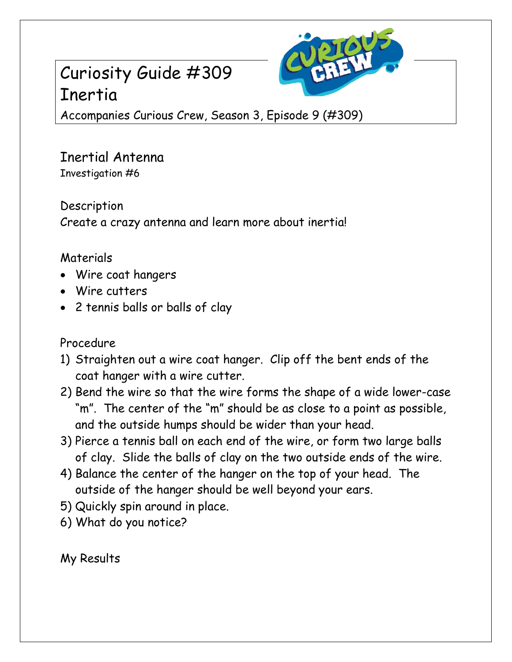## Curiosity Guide #309 Inertia



Accompanies Curious Crew, Season 3, Episode 9 (#309)

Inertial Antenna Investigation #6

Description Create a crazy antenna and learn more about inertia!

## Materials

- Wire coat hangers
- Wire cutters
- 2 tennis balls or balls of clay

Procedure

- 1) Straighten out a wire coat hanger. Clip off the bent ends of the coat hanger with a wire cutter.
- 2) Bend the wire so that the wire forms the shape of a wide lower-case "m". The center of the "m" should be as close to a point as possible, and the outside humps should be wider than your head.
- 3) Pierce a tennis ball on each end of the wire, or form two large balls of clay. Slide the balls of clay on the two outside ends of the wire.
- 4) Balance the center of the hanger on the top of your head. The outside of the hanger should be well beyond your ears.
- 5) Quickly spin around in place.
- 6) What do you notice?

My Results